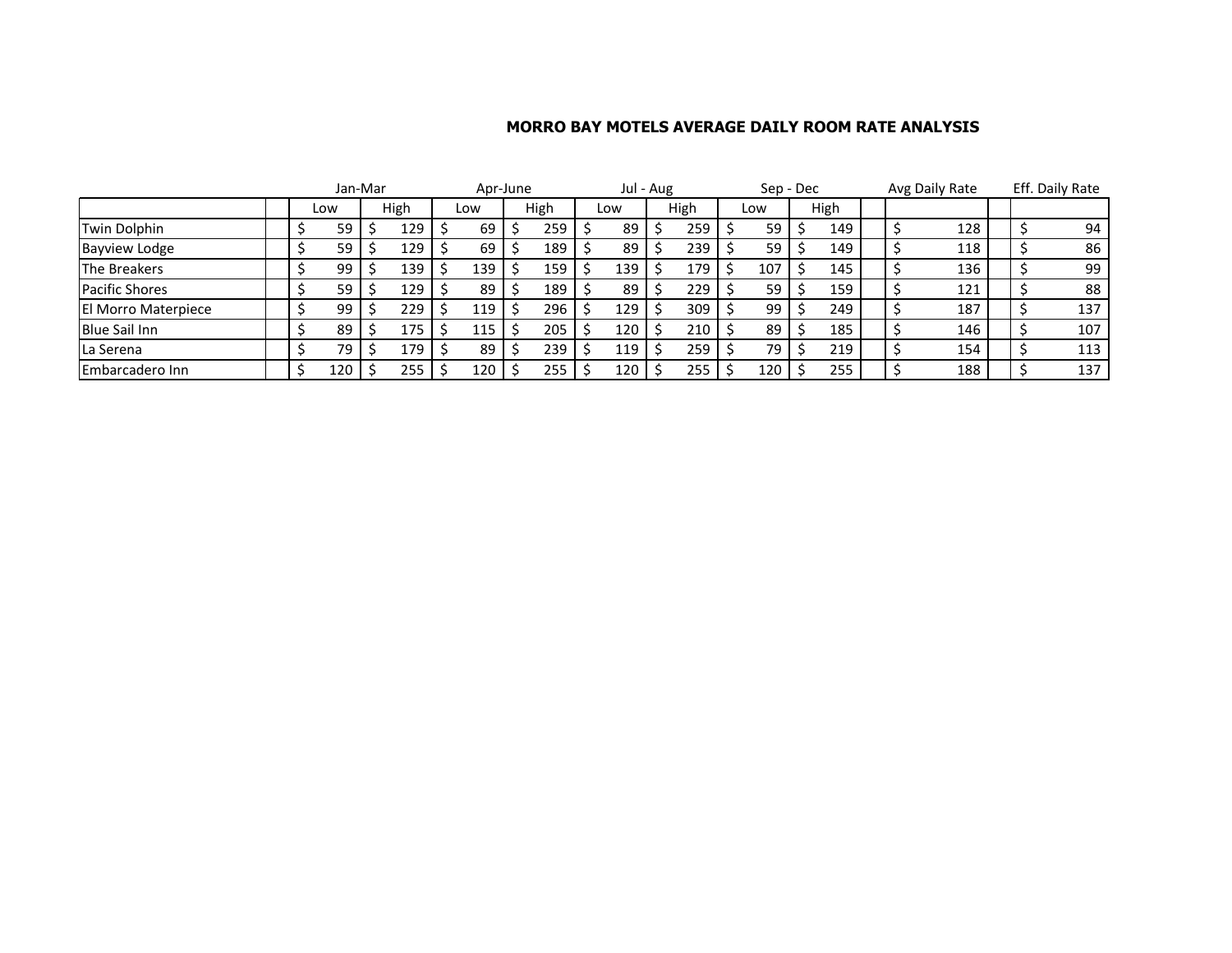## **MORRO BAY MOTELS AVERAGE DAILY ROOM RATE ANALYSIS**

|                       | Jan-Mar |     |  |      | Apr-June |     |  |      | Jul - Aug |     |  | Sep - Dec |  |     | Avg Daily Rate |      | Eff. Daily Rate |     |  |     |
|-----------------------|---------|-----|--|------|----------|-----|--|------|-----------|-----|--|-----------|--|-----|----------------|------|-----------------|-----|--|-----|
|                       |         | Low |  | High |          | Low |  | High |           | Low |  | High      |  | Low |                | High |                 |     |  |     |
| Twin Dolphin          |         | 59  |  | 129  |          | 69  |  | 259  |           | 89  |  | 259       |  | 59  |                | 149  |                 | 128 |  | 94  |
| <b>Bayview Lodge</b>  |         | 59  |  | 129  |          | 69  |  | 189  |           | 89  |  | 239       |  | 59  |                | 149  |                 | 118 |  | 86  |
| The Breakers          |         | 99  |  | 139  |          | 139 |  | 159  |           | 139 |  | 179       |  | 107 |                | 145  |                 | 136 |  | 99  |
| <b>Pacific Shores</b> |         | 59  |  | 129  |          | 89  |  | 189  |           | 89  |  | 229       |  | 59  |                | 159  |                 | 121 |  | 88  |
| El Morro Materpiece   |         | 99  |  | 229  |          | 119 |  | 296  |           | 129 |  | 309       |  | 99  |                | 249  |                 | 187 |  | 137 |
| <b>Blue Sail Inn</b>  |         | 89  |  | 175  |          | 115 |  | 205  |           | 120 |  | 210       |  | 89  |                | 185  |                 | 146 |  | 107 |
| La Serena             |         | 79  |  | 179  |          | 89  |  | 239  |           | 119 |  | 259       |  | 79  |                | 219  |                 | 154 |  | 113 |
| Embarcadero Inn       |         | 120 |  | 255  |          | 120 |  | 255  |           | 120 |  | 255       |  | 120 |                | 255  |                 | 188 |  | 137 |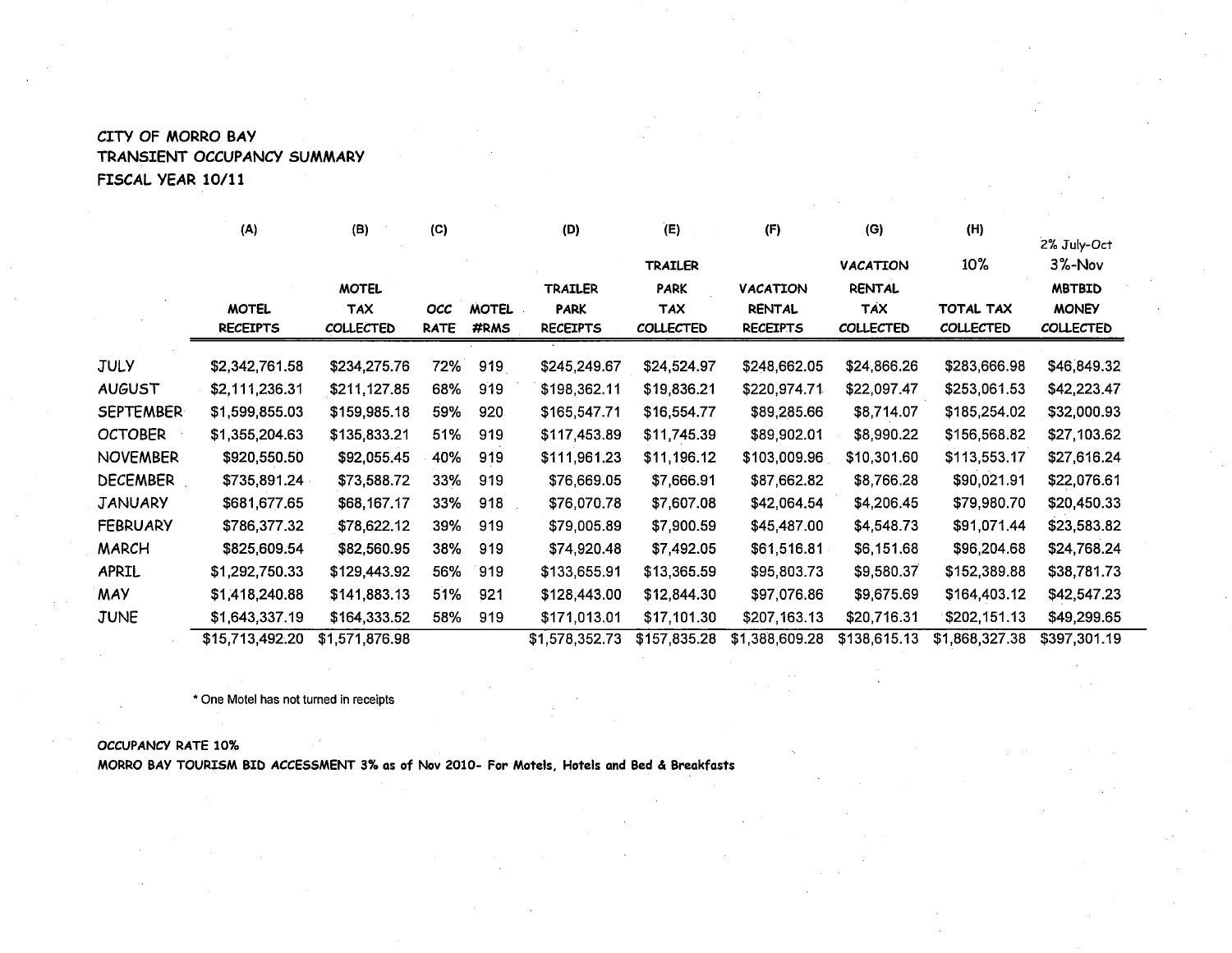## CITY OF MORRO BAY TRANSIENT OCCUPANCY SUMMARY FISCAL YEAR 10/11

|           | (A)                        | (B)              | (C)         |              | (D)             | (E)              | (F)             | (G)              | (H)              |                          |  |
|-----------|----------------------------|------------------|-------------|--------------|-----------------|------------------|-----------------|------------------|------------------|--------------------------|--|
|           |                            |                  |             |              |                 | <b>TRAILER</b>   |                 | <b>VACATION</b>  | $10\%$           | 2% July-Oct<br>$3%$ -Nov |  |
|           |                            | <b>MOTEL</b>     |             |              | <b>TRAILER</b>  | <b>PARK</b>      | <b>VACATION</b> | <b>RENTAL</b>    |                  | <b>MBTBID</b>            |  |
|           | <b>MOTEL</b><br><b>TAX</b> |                  | <b>OCC</b>  | <b>MOTEL</b> | <b>PARK</b>     | <b>TAX</b>       | <b>RENTAL</b>   | <b>TAX</b>       | <b>TOTAL TAX</b> | <b>MONEY</b>             |  |
|           | <b>RECEIPTS</b>            | <b>COLLECTED</b> | <b>RATE</b> | #RMS         | <b>RECEIPTS</b> | <b>COLLECTED</b> | <b>RECEIPTS</b> | <b>COLLECTED</b> | <b>COLLECTED</b> | <b>COLLECTED</b>         |  |
| JULY      | \$2,342,761.58             | \$234,275.76     | 72%         | 919          | \$245,249.67    | \$24,524.97      | \$248,662.05    | \$24,866.26      | \$283,666.98     | \$46,849.32              |  |
| AUGUST    | \$2,111,236.31             | \$211,127.85     | 68%         | 919          | \$198,362.11    | \$19,836.21      | \$220,974.71    | \$22,097.47      | \$253,061.53     | \$42,223.47              |  |
| SEPTEMBER | \$1,599,855.03             | \$159,985.18     | 59%         | 920          | \$165,547.71    | \$16,554.77      | \$89,285.66     | \$8,714.07       | \$185,254.02     | \$32,000.93              |  |
| OCTOBER   | \$1,355,204.63             | \$135,833.21     | 51%         | 919          | \$117,453.89    | \$11,745.39      | \$89,902.01     | \$8,990.22       | \$156,568.82     | \$27,103.62              |  |
| NOVEMBER  | \$920,550.50               | \$92,055.45      | 40%         | 919          | \$111,961.23    | \$11,196.12      | \$103,009.96    | \$10,301.60      | \$113,553.17     | \$27,616.24              |  |
| DECEMBER  | \$735,891.24               | \$73,588.72      | 33%         | 919          | \$76,669.05     | \$7,666.91       | \$87,662.82     | \$8,766.28       | \$90,021.91      | \$22,076.61              |  |
| JANUARY   | \$681,677.65               | \$68,167.17      | 33%         | 918          | \$76,070.78     | \$7,607.08       | \$42,064.54     | \$4,206.45       | \$79,980.70      | \$20,450.33              |  |
| FEBRUARY  | \$786,377.32               | \$78,622.12      | 39%         | 919          | \$79,005.89     | \$7,900.59       | \$45,487.00     | \$4,548.73       | \$91,071.44      | \$23,583.82              |  |
| MARCH     | \$825,609.54               | \$82,560.95      | 38%         | 919          | \$74,920.48     | \$7,492.05       | \$61,516.81     | \$6,151.68       | \$96,204.68      | \$24,768.24              |  |
| APRIL     | \$1,292,750.33             | \$129,443.92     | 56%         | 919          | \$133,655.91    | \$13,365.59      | \$95,803.73     | \$9,580.37       | \$152,389.88     | \$38,781.73              |  |
| MAY       | \$1,418,240.88             | \$141,883.13     | 51%         | 921          | \$128,443.00    | \$12,844.30      | \$97,076.86     | \$9,675.69       | \$164,403.12     | \$42,547.23              |  |
| JUNE      | \$1,643,337.19             | \$164,333.52     | 58%         | 919          | \$171,013.01    | \$17,101.30      | \$207,163.13    | \$20,716.31      | \$202,151.13     | \$49,299.65              |  |
|           | \$15,713,492.20            | \$1,571,876.98   |             |              | \$1,578,352.73  | \$157,835.28     | \$1,388,609.28  | \$138,615.13     | \$1,868,327.38   | \$397,301.19             |  |

\* One Motel has not turned in receipts

## OCCUPANCY RATE 10%

MORRO BAY TOURISM BID ACCESSMENT 3% as of Nov 2010- For Motels, Hotels and Bed & Breakfasts